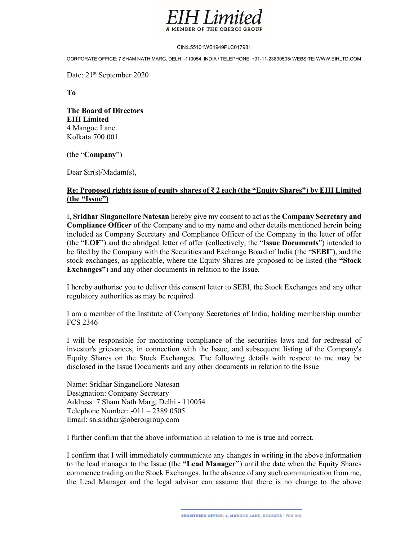

### CIN:L55101WB1949PLC017981

CORPORATE OFFICE: 7 SHAM NATH MARG, DELHI -110054, INDIA / TELEPHONE: +91-11-23890505/ WEBSITE: WWW.EIHLTD.COM

Date: 21<sup>st</sup> September 2020

To

The Board of Directors EIH Limited 4 Mangoe Lane Kolkata 700 001

(the "Company")

Dear Sir(s)/Madam(s),

## Re: Proposed rights issue of equity shares of ₹ 2 each (the "Equity Shares") by EIH Limited (the "Issue")

I, Sridhar Singanellore Natesan hereby give my consent to act as the Company Secretary and Compliance Officer of the Company and to my name and other details mentioned herein being included as Company Secretary and Compliance Officer of the Company in the letter of offer (the "LOF") and the abridged letter of offer (collectively, the "Issue Documents") intended to be filed by the Company with the Securities and Exchange Board of India (the "SEBI"), and the stock exchanges, as applicable, where the Equity Shares are proposed to be listed (the "Stock Exchanges") and any other documents in relation to the Issue.

 I hereby authorise you to deliver this consent letter to SEBI, the Stock Exchanges and any other regulatory authorities as may be required.

I am a member of the Institute of Company Secretaries of India, holding membership number FCS 2346

I will be responsible for monitoring compliance of the securities laws and for redressal of investor's grievances, in connection with the Issue, and subsequent listing of the Company's Equity Shares on the Stock Exchanges. The following details with respect to me may be disclosed in the Issue Documents and any other documents in relation to the Issue

Name: Sridhar Singanellore Natesan Designation: Company Secretary Address: 7 Sham Nath Marg, Delhi - 110054 Telephone Number: -011 – 2389 0505 Email: sn.sridhar@oberoigroup.com

I further confirm that the above information in relation to me is true and correct.

I confirm that I will immediately communicate any changes in writing in the above information to the lead manager to the Issue (the "Lead Manager") until the date when the Equity Shares commence trading on the Stock Exchanges. In the absence of any such communication from me, the Lead Manager and the legal advisor can assume that there is no change to the above